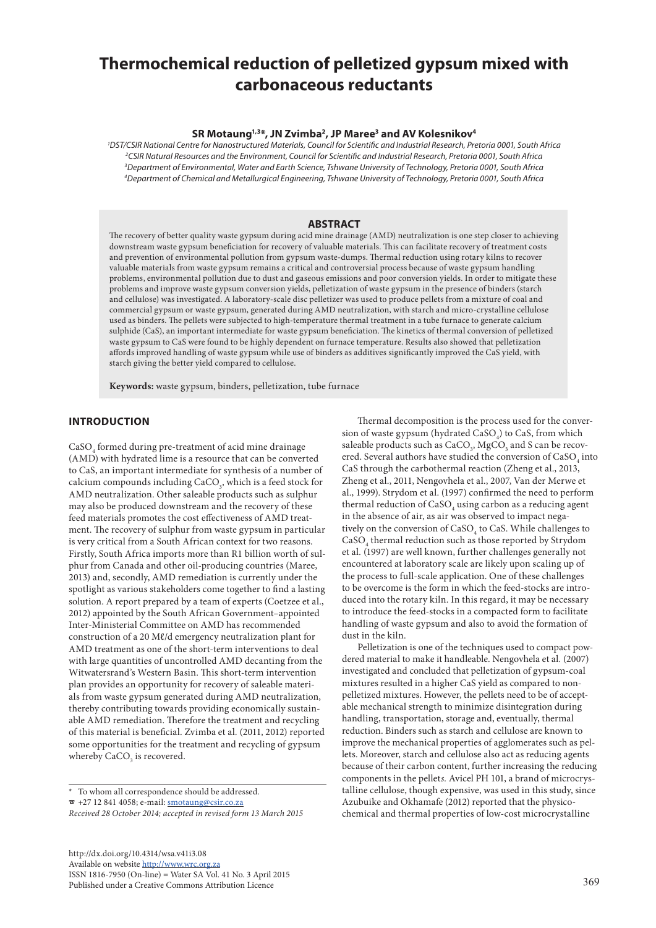# **Thermochemical reduction of pelletized gypsum mixed with carbonaceous reductants**

# **SR Motaung1,3\*, JN Zvimba2, JP Maree3 and AV Kolesnikov4**

 *DST/CSIR National Centre for Nanostructured Materials, Council for Scientific and Industrial Research, Pretoria 0001, South Africa CSIR Natural Resources and the Environment, Council for Scientific and Industrial Research, Pretoria 0001, South Africa Department of Environmental, Water and Earth Science, Tshwane University of Technology, Pretoria 0001, South Africa Department of Chemical and Metallurgical Engineering, Tshwane University of Technology, Pretoria 0001, South Africa*

#### **ABSTRACT**

The recovery of better quality waste gypsum during acid mine drainage (AMD) neutralization is one step closer to achieving downstream waste gypsum beneficiation for recovery of valuable materials. This can facilitate recovery of treatment costs and prevention of environmental pollution from gypsum waste-dumps. Thermal reduction using rotary kilns to recover valuable materials from waste gypsum remains a critical and controversial process because of waste gypsum handling problems, environmental pollution due to dust and gaseous emissions and poor conversion yields. In order to mitigate these problems and improve waste gypsum conversion yields, pelletization of waste gypsum in the presence of binders (starch and cellulose) was investigated. A laboratory-scale disc pelletizer was used to produce pellets from a mixture of coal and commercial gypsum or waste gypsum, generated during AMD neutralization, with starch and micro-crystalline cellulose used as binders. The pellets were subjected to high-temperature thermal treatment in a tube furnace to generate calcium sulphide (CaS), an important intermediate for waste gypsum beneficiation. The kinetics of thermal conversion of pelletized waste gypsum to CaS were found to be highly dependent on furnace temperature. Results also showed that pelletization affords improved handling of waste gypsum while use of binders as additives significantly improved the CaS yield, with starch giving the better yield compared to cellulose.

**Keywords:** waste gypsum, binders, pelletization, tube furnace

# **INTRODUCTION**

 $\rm CaSO_{4}$  formed during pre-treatment of acid mine drainage (AMD) with hydrated lime is a resource that can be converted to CaS, an important intermediate for synthesis of a number of calcium compounds including  $\text{CaCO}_{\mathfrak{z}},$  which is a feed stock for AMD neutralization. Other saleable products such as sulphur may also be produced downstream and the recovery of these feed materials promotes the cost effectiveness of AMD treatment. The recovery of sulphur from waste gypsum in particular is very critical from a South African context for two reasons. Firstly, South Africa imports more than R1 billion worth of sulphur from Canada and other oil-producing countries (Maree, 2013) and, secondly, AMD remediation is currently under the spotlight as various stakeholders come together to find a lasting solution. A report prepared by a team of experts (Coetzee et al., 2012) appointed by the South African Government–appointed Inter-Ministerial Committee on AMD has recommended construction of a 20 Mℓ/d emergency neutralization plant for AMD treatment as one of the short-term interventions to deal with large quantities of uncontrolled AMD decanting from the Witwatersrand's Western Basin. This short-term intervention plan provides an opportunity for recovery of saleable materials from waste gypsum generated during AMD neutralization, thereby contributing towards providing economically sustainable AMD remediation. Therefore the treatment and recycling of this material is beneficial. Zvimba et al*.* (2011, 2012) reported some opportunities for the treatment and recycling of gypsum whereby  $\text{CaCO}_3^{\text{}}$  is recovered.

http://dx.doi.org/10.4314/wsa.v41i3.08 Available on website<http://www.wrc.org.za> ISSN 1816-7950 (On-line) = Water SA Vol. 41 No. 3 April 2015 Published under a Creative Commons Attribution Licence

Thermal decomposition is the process used for the conversion of waste gypsum (hydrated  $\text{CaSO}_4$ ) to CaS, from which saleable products such as  $\rm CaCO_{_3}, MgCO_{_3}$  and S can be recovered. Several authors have studied the conversion of  $\mathrm{CaSO}_4$  into CaS through the carbothermal reaction (Zheng et al., 2013, Zheng et al., 2011, Nengovhela et al., 2007, Van der Merwe et al., 1999). Strydom et al. (1997) confirmed the need to perform thermal reduction of CaSO $_{\scriptscriptstyle 4}$  using carbon as a reducing agent in the absence of air, as air was observed to impact negatively on the conversion of CaSO<sub>4</sub> to CaS. While challenges to  $\mathrm{CaSO}_4$  thermal reduction such as those reported by Strydom et al*.* (1997) are well known, further challenges generally not encountered at laboratory scale are likely upon scaling up of the process to full-scale application. One of these challenges to be overcome is the form in which the feed-stocks are introduced into the rotary kiln. In this regard, it may be necessary to introduce the feed-stocks in a compacted form to facilitate handling of waste gypsum and also to avoid the formation of dust in the kiln.

Pelletization is one of the techniques used to compact powdered material to make it handleable. Nengovhela et al*.* (2007) investigated and concluded that pelletization of gypsum-coal mixtures resulted in a higher CaS yield as compared to nonpelletized mixtures. However, the pellets need to be of acceptable mechanical strength to minimize disintegration during handling, transportation, storage and, eventually, thermal reduction. Binders such as starch and cellulose are known to improve the mechanical properties of agglomerates such as pellets. Moreover, starch and cellulose also act as reducing agents because of their carbon content, further increasing the reducing components in the pellet*s.* Avicel PH 101, a brand of microcrystalline cellulose, though expensive, was used in this study, since Azubuike and Okhamafe (2012) reported that the physicochemical and thermal properties of low-cost microcrystalline

<sup>\*</sup> To whom all correspondence should be addressed.

<sup>☎</sup> +27 12 841 4058; e-mail: [smotaung@csir.co.za](file:///Lance_work/01067_NISC_Water_works/Documents/08_3143/smotaung@csir.co.za)

*Received 28 October 2014; accepted in revised form 13 March 2015*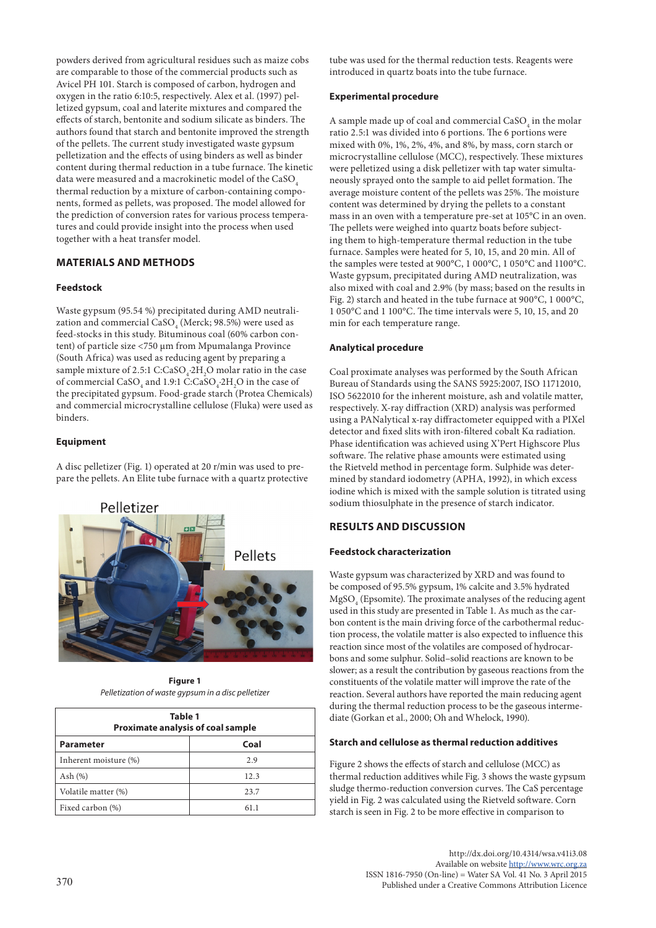powders derived from agricultural residues such as maize cobs are comparable to those of the commercial products such as Avicel PH 101. Starch is composed of carbon, hydrogen and oxygen in the ratio 6:10:5, respectively. Alex et al. (1997) pelletized gypsum, coal and laterite mixtures and compared the effects of starch, bentonite and sodium silicate as binders. The authors found that starch and bentonite improved the strength of the pellets. The current study investigated waste gypsum pelletization and the effects of using binders as well as binder content during thermal reduction in a tube furnace. The kinetic data were measured and a macrokinetic model of the CaSO. thermal reduction by a mixture of carbon-containing components, formed as pellets, was proposed. The model allowed for the prediction of conversion rates for various process temperatures and could provide insight into the process when used together with a heat transfer model.

# **MATERIALS AND METHODS**

# **Feedstock**

Waste gypsum (95.54 %) precipitated during AMD neutralization and commercial CaSO<sub>4</sub> (Merck; 98.5%) were used as feed-stocks in this study. Bituminous coal (60% carbon content) of particle size <750 µm from Mpumalanga Province (South Africa) was used as reducing agent by preparing a sample mixture of 2.5:1 C:CaSO<sub>4</sub>.2H<sub>2</sub>O molar ratio in the case of commercial CaSO<sub>4</sub> and 1.9:1 C:CaSO<sub>4</sub>.2H<sub>2</sub>O in the case of the precipitated gypsum. Food-grade starch (Protea Chemicals) and commercial microcrystalline cellulose (Fluka) were used as binders.

# **Equipment**

A disc pelletizer (Fig. 1) operated at 20 r/min was used to prepare the pellets. An Elite tube furnace with a quartz protective



Pelletization of waste gypsum in a disc pelletizer **Figure 1** *Pelletization of waste gypsum in a disc pelletizer* 

| Table 1<br><b>Proximate analysis of coal sample</b> |      |  |
|-----------------------------------------------------|------|--|
| <b>Parameter</b>                                    | Coal |  |
| Inherent moisture (%)                               | 2.9  |  |
| Ash $(%)$                                           | 12.3 |  |
| Volatile matter (%)                                 | 23.7 |  |
| Fixed carbon (%)                                    | 61 1 |  |

tube was used for the thermal reduction tests. Reagents were introduced in quartz boats into the tube furnace.

# **Experimental procedure**

A sample made up of coal and commercial  $\mathrm{CaSO}_4$  in the molar ratio 2.5:1 was divided into 6 portions. The 6 portions were mixed with 0%, 1%, 2%, 4%, and 8%, by mass, corn starch or microcrystalline cellulose (MCC), respectively. These mixtures were pelletized using a disk pelletizer with tap water simultaneously sprayed onto the sample to aid pellet formation. The average moisture content of the pellets was 25%. The moisture content was determined by drying the pellets to a constant mass in an oven with a temperature pre-set at 105°C in an oven. The pellets were weighed into quartz boats before subjecting them to high-temperature thermal reduction in the tube furnace. Samples were heated for 5, 10, 15, and 20 min. All of the samples were tested at 900°C, 1 000°C, 1 050°C and 1100°C. Waste gypsum, precipitated during AMD neutralization, was also mixed with coal and 2.9% (by mass; based on the results in Fig. 2) starch and heated in the tube furnace at 900°C, 1 000°C, 1 050°C and 1 100°C. The time intervals were 5, 10, 15, and 20 min for each temperature range.

# **Analytical procedure**

Coal proximate analyses was performed by the South African Bureau of Standards using the SANS 5925:2007, ISO 11712010, ISO 5622010 for the inherent moisture, ash and volatile matter, respectively. X-ray diffraction (XRD) analysis was performed using a PANalytical x-ray diffractometer equipped with a PIXel detector and fixed slits with iron-filtered cobalt Kα radiation. Phase identification was achieved using X'Pert Highscore Plus software. The relative phase amounts were estimated using the Rietveld method in percentage form. Sulphide was determined by standard iodometry (APHA, 1992), in which excess iodine which is mixed with the sample solution is titrated using sodium thiosulphate in the presence of starch indicator.

# **RESULTS AND DISCUSSION**

# **Feedstock characterization**

Waste gypsum was characterized by XRD and was found to be composed of 95.5% gypsum, 1% calcite and 3.5% hydrated  ${\rm MgSO}_4$  (Epsomite). The proximate analyses of the reducing agent used in this study are presented in Table 1. As much as the carbon content is the main driving force of the carbothermal reduction process, the volatile matter is also expected to influence this reaction since most of the volatiles are composed of hydrocarbons and some sulphur. Solid–solid reactions are known to be slower; as a result the contribution by gaseous reactions from the constituents of the volatile matter will improve the rate of the reaction. Several authors have reported the main reducing agent during the thermal reduction process to be the gaseous intermediate (Gorkan et al*.*, 2000; Oh and Whelock, 1990).

# **Starch and cellulose as thermal reduction additives**

Figure 2 shows the effects of starch and cellulose (MCC) as thermal reduction additives while Fig. 3 shows the waste gypsum sludge thermo-reduction conversion curves. The CaS percentage yield in Fig. 2 was calculated using the Rietveld software. Corn starch is seen in Fig. 2 to be more effective in comparison to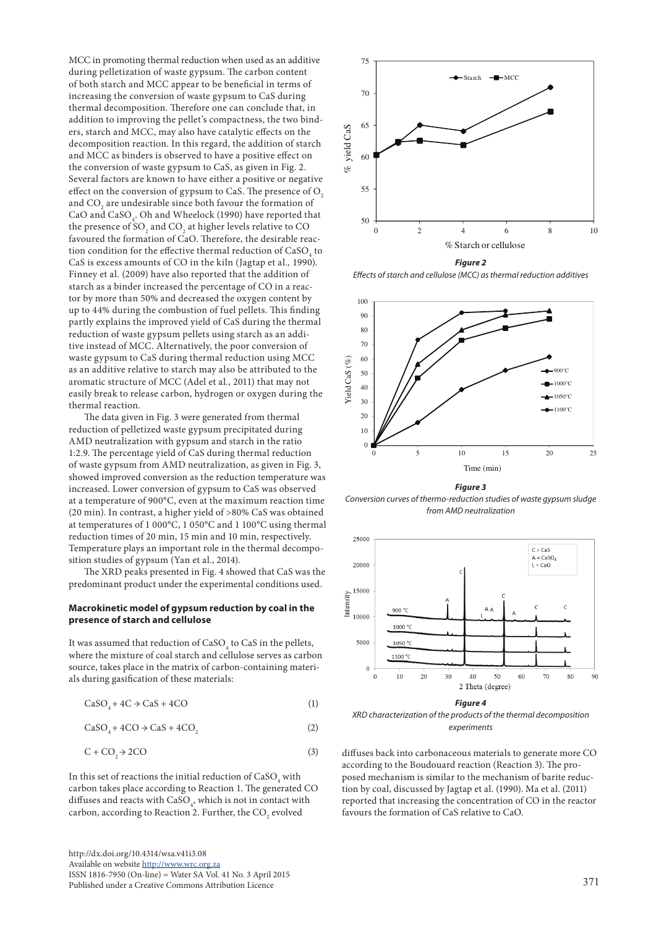MCC in promoting thermal reduction when used as an additive during pelletization of waste gypsum. The carbon content of both starch and MCC appear to be beneficial in terms of increasing the conversion of waste gypsum to CaS during thermal decomposition. Therefore one can conclude that, in addition to improving the pellet's compactness, the two binders, starch and MCC, may also have catalytic effects on the decomposition reaction. In this regard, the addition of starch and MCC as binders is observed to have a positive effect on the conversion of waste gypsum to CaS, as given in Fig. 2. Several factors are known to have either a positive or negative effect on the conversion of gypsum to CaS. The presence of  $O<sub>2</sub>$ and  $\mathrm{CO}_\mathrm{2}$  are undesirable since both favour the formation of CaO and  $\mathrm{CaSO}_4$ . Oh and Wheelock (1990) have reported that the presence of SO<sub>2</sub> and CO<sub>2</sub> at higher levels relative to CO favoured the formation of CaO. Therefore, the desirable reaction condition for the effective thermal reduction of  $\mathrm{CaSO}_4$  to CaS is excess amounts of CO in the kiln (Jagtap et al*.,* 1990). Finney et al*.* (2009) have also reported that the addition of starch as a binder increased the percentage of CO in a reactor by more than 50% and decreased the oxygen content by up to 44% during the combustion of fuel pellets. This finding partly explains the improved yield of CaS during the thermal reduction of waste gypsum pellets using starch as an additive instead of MCC. Alternatively, the poor conversion of waste gypsum to CaS during thermal reduction using MCC as an additive relative to starch may also be attributed to the aromatic structure of MCC (Adel et al*.*, 2011) that may not easily break to release carbon, hydrogen or oxygen during the thermal reaction.

The data given in Fig. 3 were generated from thermal reduction of pelletized waste gypsum precipitated during AMD neutralization with gypsum and starch in the ratio 1:2.9. The percentage yield of CaS during thermal reduction of waste gypsum from AMD neutralization, as given in Fig. 3, showed improved conversion as the reduction temperature was increased. Lower conversion of gypsum to CaS was observed at a temperature of 900°C, even at the maximum reaction time (20 min). In contrast, a higher yield of >80% CaS was obtained at temperatures of 1 000°C, 1 050°C and 1 100°C using thermal reduction times of 20 min, 15 min and 10 min, respectively. Temperature plays an important role in the thermal decomposition studies of gypsum (Yan et al*.*, 2014).

The XRD peaks presented in Fig. 4 showed that CaS was the predominant product under the experimental conditions used.

## **Macrokinetic model of gypsum reduction by coal in the presence of starch and cellulose**

It was assumed that reduction of  $\mathrm{CaSO}_4$  to  $\mathrm{CaSi}$  in the pellets, where the mixture of coal starch and cellulose serves as carbon source, takes place in the matrix of carbon-containing materials during gasification of these materials:

$$
CaSO4 + 4C \rightarrow CaS + 4CO
$$
 (1)

$$
CaSO4 + 4CO \rightarrow CaS + 4CO2
$$
 (2)

$$
C + CO2 \rightarrow 2CO
$$
 (3)

In this set of reactions the initial reduction of  $\mathrm{CaSO}_{_4}$  with carbon takes place according to Reaction 1. The generated CO diffuses and reacts with CaSO<sub>4</sub>, which is not in contact with carbon, according to Reaction 2. Further, the  $\mathrm{CO}_\mathrm{2}$  evolved

http://dx.doi.org/10.4314/wsa.v41i3.08 Available on website<http://www.wrc.org.za> ISSN 1816-7950 (On-line) = Water SA Vol. 41 No. 3 April 2015 Published under a Creative Commons Attribution Licence



*Figure 2*

Effects of starch and cellulose (MCC) as thermal reduction additives *Effects of starch and cellulose (MCC) as thermal reduction additives*



*Figure 3*

Conversion curves of thermo-reduction studies of waste gypsum sludge from AMD neutralization *Conversion curves of thermo-reduction studies of waste gypsum sludge from AMD neutralization*



XRD characterization of the products of the thermal decomposition experiments *XRD characterization of the products of the thermal decomposition experiments*

diffuses back into carbonaceous materials to generate more CO according to the Boudouard reaction (Reaction 3). The proposed mechanism is similar to the mechanism of barite reduction by coal, discussed by Jagtap et al. (1990). Ma et al. (2011) reported that increasing the concentration of CO in the reactor favours the formation of CaS relative to CaO.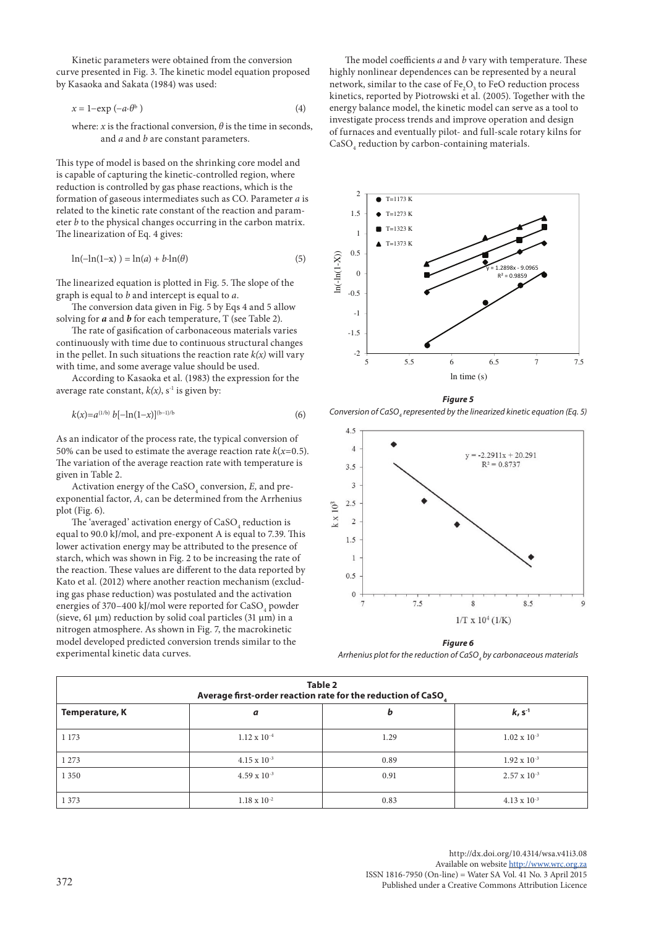Kinetic parameters were obtained from the conversion curve presented in Fig. 3. The kinetic model equation proposed by Kasaoka and Sakata (1984) was used:

$$
x = 1 - \exp(-a \cdot \theta^b) \tag{4}
$$

where: *x* is the fractional conversion,  $\theta$  is the time in seconds, and *a* and *b* are constant parameters.

This type of model is based on the shrinking core model and is capable of capturing the kinetic-controlled region, where reduction is controlled by gas phase reactions, which is the formation of gaseous intermediates such as CO. Parameter *a* is related to the kinetic rate constant of the reaction and parameter *b* to the physical changes occurring in the carbon matrix. The linearization of Eq. 4 gives:

$$
\ln(-\ln(1-x)) = \ln(a) + b \cdot \ln(\theta) \tag{5}
$$

The linearized equation is plotted in Fig. 5. The slope of the graph is equal to *b* and intercept is equal to *a*.

The conversion data given in Fig. 5 by Eqs 4 and 5 allow solving for *a* and *b* for each temperature, T (see Table 2).

The rate of gasification of carbonaceous materials varies continuously with time due to continuous structural changes in the pellet. In such situations the reaction rate  $k(x)$  will vary with time, and some average value should be used.

According to Kasaoka et al*.* (1983) the expression for the average rate constant,  $k(x)$ ,  $s<sup>-1</sup>$  is given by:

$$
k(x) = a^{(1/b)} b[-\ln(1-x)]^{(b-1)/b} \tag{6}
$$

As an indicator of the process rate, the typical conversion of 50% can be used to estimate the average reaction rate  $k(x=0.5)$ . The variation of the average reaction rate with temperature is given in Table 2.

Activation energy of the CaSO<sub>4</sub> conversion, *E*, and preexponential factor, *A,* can be determined from the Arrhenius plot (Fig. 6).

The 'averaged' activation energy of  $\mathrm{CaSO}_{_4}$  reduction is equal to 90.0 kJ/mol, and pre-exponent A is equal to 7.39. This lower activation energy may be attributed to the presence of starch, which was shown in Fig. 2 to be increasing the rate of the reaction. These values are different to the data reported by Kato et al. (2012) where another reaction mechanism (excluding gas phase reduction) was postulated and the activation energies of 370–400 kJ/mol were reported for  ${\rm CaSO}_4$  powder (sieve, 61  $\mu$ m) reduction by solid coal particles (31  $\mu$ m) in a nitrogen atmosphere. As shown in Fig. 7, the macrokinetic model developed predicted conversion trends similar to the experimental kinetic data curves.

The model coefficients *a* and *b* vary with temperature. These highly nonlinear dependences can be represented by a neural network, similar to the case of  $\text{Fe}_2\text{O}_3$  to FeO reduction process kinetics, reported by Piotrowski et al*.* (2005). Together with the energy balance model, the kinetic model can serve as a tool to investigate process trends and improve operation and design of furnaces and eventually pilot- and full-scale rotary kilns for  $CaSO<sub>4</sub>$  reduction by carbon-containing materials.



conversion of CaSO4 represented by the linearized by the linearized by the linearized kinetic equation (Eq. 5) *Figure 5 Conversion of CaSO4 represented by the linearized kinetic equation (Eq. 5)*



Figure 6 Arrhenius plot for the reduction of CaSO4 by carbonaceous materials *Arrhenius plot for the reduction of CaSO4 by carbonaceous materials Figure 6*

| Table 2<br>Average first-order reaction rate for the reduction of CaSO <sub>4</sub> |                       |      |                       |
|-------------------------------------------------------------------------------------|-----------------------|------|-----------------------|
| <b>Temperature, K</b>                                                               | a                     | b    | $k, s^{-1}$           |
| 1 1 7 3                                                                             | $1.12 \times 10^{-4}$ | 1.29 | $1.02 \times 10^{-3}$ |
| 1 2 7 3                                                                             | $4.15 \times 10^{-3}$ | 0.89 | $1.92 \times 10^{-3}$ |
| 1 3 5 0                                                                             | $4.59 \times 10^{-3}$ | 0.91 | $2.57 \times 10^{-3}$ |
| 1 3 7 3                                                                             | $1.18 \times 10^{-2}$ | 0.83 | $4.13 \times 10^{-3}$ |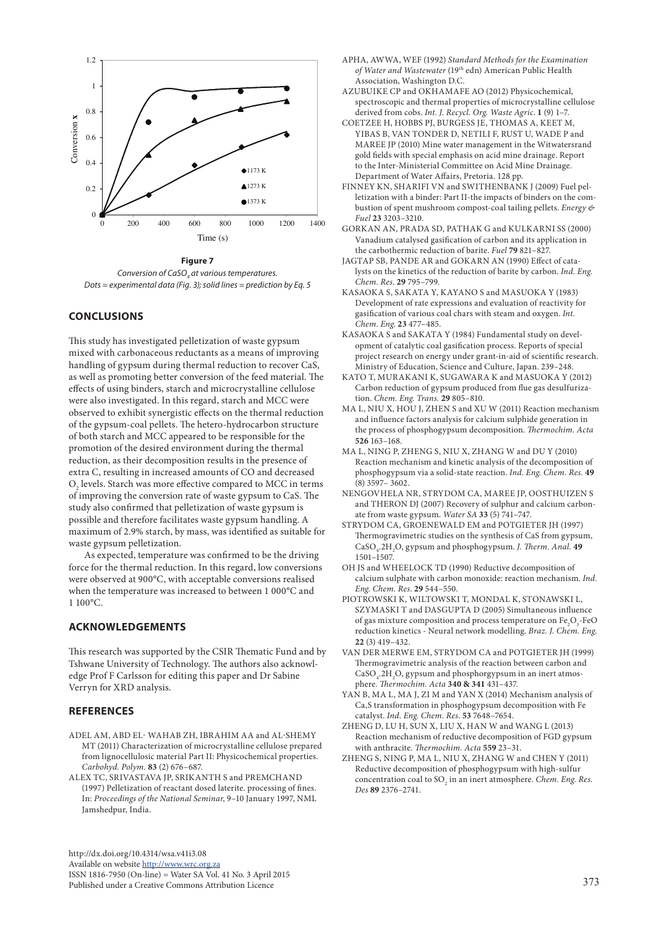

Conversion of CaSO4 at various temperatures. **Figure 7** *Conversion of CaSO<sub>4</sub> at various temperatures. Dots = experimental data (Fig. 3); solid lines = prediction by Eq. 5* 

# **CONCLUSIONS**

This study has investigated pelletization of waste gypsum mixed with carbonaceous reductants as a means of improving handling of gypsum during thermal reduction to recover CaS, as well as promoting better conversion of the feed material. The effects of using binders, starch and microcrystalline cellulose were also investigated. In this regard, starch and MCC were observed to exhibit synergistic effects on the thermal reduction of the gypsum-coal pellets. The hetero-hydrocarbon structure of both starch and MCC appeared to be responsible for the promotion of the desired environment during the thermal reduction, as their decomposition results in the presence of extra C, resulting in increased amounts of CO and decreased  $\mathrm{O}_2$  levels. Starch was more effective compared to MCC in terms of improving the conversion rate of waste gypsum to CaS. The study also confirmed that pelletization of waste gypsum is possible and therefore facilitates waste gypsum handling. A maximum of 2.9% starch, by mass, was identified as suitable for waste gypsum pelletization.

As expected, temperature was confirmed to be the driving force for the thermal reduction. In this regard, low conversions were observed at 900°C, with acceptable conversions realised when the temperature was increased to between 1 000°C and 1 100°C.

# **ACKNOWLEDGEMENTS**

This research was supported by the CSIR Thematic Fund and by Tshwane University of Technology. The authors also acknowledge Prof F Carlsson for editing this paper and Dr Sabine Verryn for XRD analysis.

# **REFERENCES**

- Adel AM, Abd El- Wahab ZH, Ibrahim AA and Al-Shemy MT (2011) Characterization of microcrystalline cellulose prepared from lignocellulosic material Part II: Physicochemical properties. *Carbohyd. Polym.* **83** (2) 676–687.
- Alex TC, Srivastava JP, Srikanth S and Premchand (1997) Pelletization of reactant dosed laterite. processing of fines. In: *Proceedings of the National Seminar*, 9–10 January 1997, NML Jamshedpur, India.

http://dx.doi.org/10.4314/wsa.v41i3.08 Available on website<http://www.wrc.org.za> ISSN 1816-7950 (On-line) = Water SA Vol. 41 No. 3 April 2015 Published under a Creative Commons Attribution Licence

- APHA, AWWA, WEF (1992) *Standard Methods for the Examination of Water and Wastewater* (19th edn) American Public Health Association, Washington D.C.
- Azubuike CP and Okhamafe AO (2012) Physicochemical, spectroscopic and thermal properties of microcrystalline cellulose derived from cobs. *Int. J. Recycl. Org. Waste Agric*. **1** (9) 1–7.
- Coetzee H, Hobbs PJ, Burgess JE, Thomas A, Keet M, YIBAS B, VAN TONDER D, NETILI F, RUST U, WADE P and MAREE JP (2010) Mine water management in the Witwatersrand gold fields with special emphasis on acid mine drainage. Report to the Inter-Ministerial Committee on Acid Mine Drainage. Department of Water Affairs, Pretoria. 128 pp.
- FINNEY KN, SHARIFI VN and SWITHENBANK J (2009) Fuel pelletization with a binder: Part II-the impacts of binders on the combustion of spent mushroom compost-coal tailing pellets. *Energy & Fuel* **23** 3203–3210.
- Gorkan AN, Prada SD, Pathak G and Kulkarni SS (2000) Vanadium catalysed gasification of carbon and its application in the carbothermic reduction of barite. *Fuel* **79** 821–827.
- JAGTAP SB, PANDE AR and GOKARN AN (1990) Effect of catalysts on the kinetics of the reduction of barite by carbon. *Ind. Eng. Chem. Res*. **29** 795–799.
- Kasaoka S, Sakata Y, Kayano S and Masuoka Y (1983) Development of rate expressions and evaluation of reactivity for gasification of various coal chars with steam and oxygen. *Int. Chem. Eng*. **23** 477–485.
- KASAOKA S and SAKATA Y (1984) Fundamental study on development of catalytic coal gasification process. Reports of special project research on energy under grant-in-aid of scientific research. Ministry of Education, Science and Culture, Japan. 239–248.
- Kato T, Murakani K, Sugawara K and Masuoka Y (2012) Carbon reduction of gypsum produced from flue gas desulfurization. *Chem. Eng. Trans.* **29** 805–810.
- MA L, NIU X, HOU J, ZHEN S and XU W (2011) Reaction mechanism and influence factors analysis for calcium sulphide generation in the process of phosphogypsum decomposition. *Thermochim. Acta*  **526** 163–168.
- Ma L, Ning P, Zheng S, Niu X, Zhang W and Du Y (2010) Reaction mechanism and kinetic analysis of the decomposition of phosphogypsum via a solid-state reaction. *Ind. Eng. Chem. Res.* **49**  (8) 3597– 3602.
- Nengovhela NR, Strydom CA, Maree JP, Oosthuizen S and THERON DJ (2007) Recovery of sulphur and calcium carbonate from waste gypsum. *Water SA* **33** (5) 741–747. 7
- STRYDOM CA, GROENEWALD EM and POTGIETER JH (1997) Thermogravimetric studies on the synthesis of CaS from gypsum, CaSO<sub>4</sub>.2H<sub>2</sub>O, gypsum and phosphogypsum. *J. Therm. Anal.* **49** 1501–1507.
- OH IS and WHEELOCK TD (1990) Reductive decomposition of calcium sulphate with carbon monoxide: reaction mechanism. *Ind. Eng. Chem. Res*. **29** 544–550.
- Piotrowski K, Wiltowski T, Mondal K, Stonawski L, SZYMASKI T and DASGUPTA D (2005) Simultaneous influence of gas mixture composition and process temperature on  $\mathrm{Fe}_2\mathrm{O}_3\text{-}\mathrm{FeO}$ reduction kinetics - Neural network modelling. *Braz. J. Chem. Eng*. **22** (3) 419–432.
- van der Merwe EM, Strydom CA and Potgieter JH (1999) Thermogravimetric analysis of the reaction between carbon and  $\mathrm{CaSO}_4$ .2H<sub>2</sub>O, gypsum and phosphorgypsum in an inert atmosphere. *Thermochim. Acta* **340 & 341** 431–437.
- YAN B, MA L, MA J, ZI M and YAN X (2014) Mechanism analysis of Ca,S transformation in phosphogypsum decomposition with Fe catalyst. *Ind. Eng. Chem. Res*. **53** 7648–7654.
- Zheng D, Lu H, Sun X, Liu X, Han W and WANG L (2013) Reaction mechanism of reductive decomposition of FGD gypsum with anthracite. *Thermochim. Acta* **559** 23–31.
- ZHENG S, NING P, MA L, NIU X, ZHANG W and CHEN Y (2011) Reductive decomposition of phosphogypsum with high-sulfur concentration coal to  ${SO_2}$  in an inert atmosphere. *Chem. Eng. Res. Des* **89** 2376–2741.